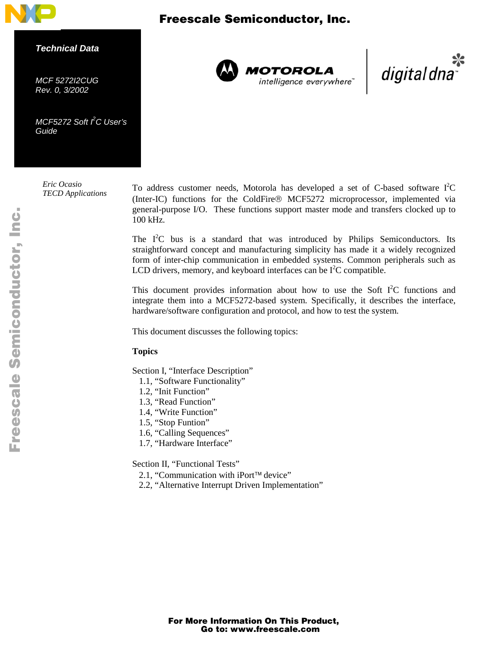

### *Technical Data*

*MCF 5272I2CUG Rev. 0, 3/2002* 

*MCF5272 Soft I2 C User's Guide*

*Eric Ocasio TECD Applications*  Freescale Semiconductor, Inc.





To address customer needs, Motorola has developed a set of C-based software  $I^2C$ (Inter-IC) functions for the ColdFire® MCF5272 microprocessor, implemented via general-purpose I/O. These functions support master mode and transfers clocked up to 100 kHz.

The  $I^2C$  bus is a standard that was introduced by Philips Semiconductors. Its straightforward concept and manufacturing simplicity has made it a widely recognized form of inter-chip communication in embedded systems. Common peripherals such as LCD drivers, memory, and keyboard interfaces can be  $I<sup>2</sup>C$  compatible.

This document provides information about how to use the Soft  $I<sup>2</sup>C$  functions and integrate them into a MCF5272-based system. Specifically, it describes the interface, hardware/software configuration and protocol, and how to test the system.

This document discusses the following topics:

#### **Topics**

Section I, "Interface Description"

- 1.1, "Software Functionality"
- 1.2, "Init Function"
- 1.3, "Read Function"
- 1.4, "Write Function"
- 1.5, "Stop Funtion"
- 1.6, "Calling Sequences"
- 1.7, "Hardware Interface"

Section II, "Functional Tests"

- 2.1, "Communication with iPort<sup> $\text{TM}$ </sup> device"
- 2.2, "Alternative Interrupt Driven Implementation"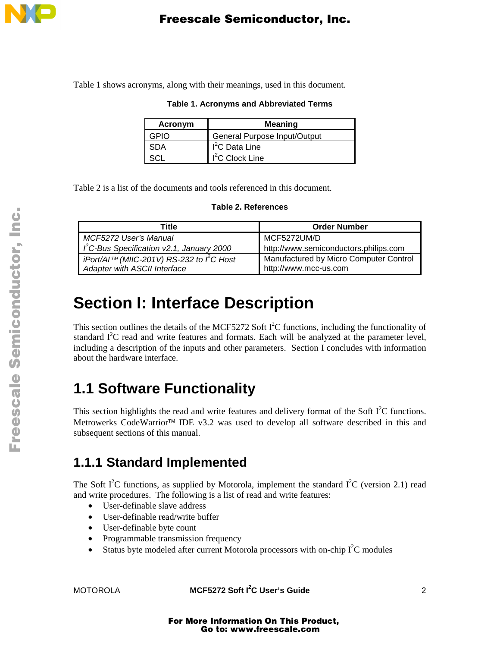

Table 1 shows acronyms, along with their meanings, used in this document.

#### **Table 1. Acronyms and Abbreviated Terms**

| Acronym    | <b>Meaning</b>               |  |  |
|------------|------------------------------|--|--|
| GPIO       | General Purpose Input/Output |  |  |
| <b>SDA</b> | $I2C$ Data Line              |  |  |
|            | $I2C$ Clock Line             |  |  |

Table 2 is a list of the documents and tools referenced in this document.

#### **Table 2. References**

| Title                                                         | <b>Order Number</b>                    |
|---------------------------------------------------------------|----------------------------------------|
| MCF5272 User's Manual                                         | MCF5272UM/D                            |
| $\beta$ C-Bus Specification v2.1, January 2000                | http://www.semiconductors.philips.com  |
| iPort/AI <sup>TM</sup> (MIIC-201V) RS-232 to $\hat{f}$ C Host | Manufactured by Micro Computer Control |
| Adapter with ASCII Interface                                  | http://www.mcc-us.com                  |

## **Section I: Interface Description**

This section outlines the details of the MCF5272 Soft  $I<sup>2</sup>C$  functions, including the functionality of standard  $I^2C$  read and write features and formats. Each will be analyzed at the parameter level, including a description of the inputs and other parameters. Section I concludes with information about the hardware interface.

## **1.1 Software Functionality**

This section highlights the read and write features and delivery format of the Soft  $I<sup>2</sup>C$  functions. Metrowerks CodeWarrior<sup>TM</sup> IDE v3.2 was used to develop all software described in this and subsequent sections of this manual.

## **1.1.1 Standard Implemented**

The Soft I<sup>2</sup>C functions, as supplied by Motorola, implement the standard I<sup>2</sup>C (version 2.1) read and write procedures. The following is a list of read and write features:

- User-definable slave address
- User-definable read/write buffer
- User-definable byte count
- Programmable transmission frequency
- Status byte modeled after current Motorola processors with on-chip  $I^2C$  modules

MOTOROLA **MCF5272 Soft I<sup>2</sup>C User's Guide** 2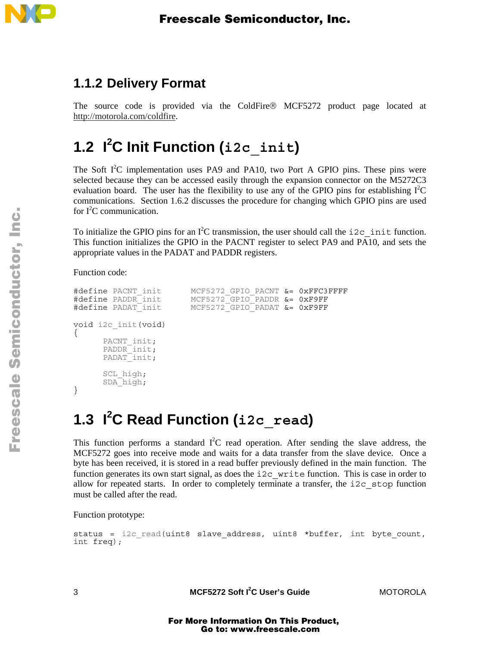

## **1.1.2 Delivery Format**

The source code is provided via the ColdFire® MCF5272 product page located at http://motorola.com/coldfire.

# **1.2 I<sup>2</sup> C Init Function (i2c\_init)**

The Soft  $I^2C$  implementation uses PA9 and PA10, two Port A GPIO pins. These pins were selected because they can be accessed easily through the expansion connector on the M5272C3 evaluation board. The user has the flexibility to use any of the GPIO pins for establishing  $I^2C$ communications. Section 1.6.2 discusses the procedure for changing which GPIO pins are used for  $I^2C$  communication.

To initialize the GPIO pins for an  $I^2C$  transmission, the user should call the i2c init function. This function initializes the GPIO in the PACNT register to select PA9 and PA10, and sets the appropriate values in the PADAT and PADDR registers.

Function code:

```
#define PACNT init MCF5272 GPIO PACNT &= 0xFFC3FFFF
#define PADDR_init MCF5272_GPIO_PADDR &= 0xF9FF 
#define PADAT_init MCF5272_GPIO_PADAT &= 0xF9FF
void i2c_init(void) 
{ 
     PACNT_init; 
     PADDR_init;
     PADAT init;
     SCL high;
     SDA_high; 
}
```
## **1.3 I<sup>2</sup> C Read Function (i2c\_read)**

This function performs a standard  $I^2C$  read operation. After sending the slave address, the MCF5272 goes into receive mode and waits for a data transfer from the slave device. Once a byte has been received, it is stored in a read buffer previously defined in the main function. The function generates its own start signal, as does the  $i2c$  write function. This is case in order to allow for repeated starts. In order to completely terminate a transfer, the i2c\_stop function must be called after the read.

Function prototype:

status = i2c read(uint8 slave address, uint8 \*buffer, int byte count, int freq);

Fr  $\boldsymbol{\Phi}$  $\bf \Phi$  $\boldsymbol{\eta}$  $\mathbf 0$ ale  $\boldsymbol{g}$  $\bf \Phi$ mic o n d u  $\mathbf 0$ t o

r, I

n

.<br>ق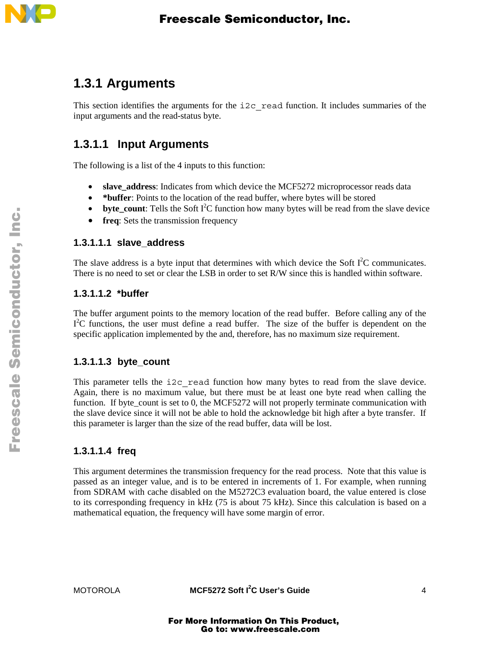

## **1.3.1 Arguments**

This section identifies the arguments for the  $i2c$  read function. It includes summaries of the input arguments and the read-status byte.

### **1.3.1.1 Input Arguments**

The following is a list of the 4 inputs to this function:

- **slave\_address**: Indicates from which device the MCF5272 microprocessor reads data
- **\*buffer**: Points to the location of the read buffer, where bytes will be stored
- byte\_count: Tells the Soft I<sup>2</sup>C function how many bytes will be read from the slave device
- **freq**: Sets the transmission frequency

### **1.3.1.1.1 slave\_address**

The slave address is a byte input that determines with which device the Soft  $I<sup>2</sup>C$  communicates. There is no need to set or clear the LSB in order to set R/W since this is handled within software.

### **1.3.1.1.2 \*buffer**

The buffer argument points to the memory location of the read buffer. Before calling any of the I<sup>2</sup>C functions, the user must define a read buffer. The size of the buffer is dependent on the specific application implemented by the and, therefore, has no maximum size requirement.

### **1.3.1.1.3 byte\_count**

This parameter tells the i2c read function how many bytes to read from the slave device. Again, there is no maximum value, but there must be at least one byte read when calling the function. If byte\_count is set to 0, the MCF5272 will not properly terminate communication with the slave device since it will not be able to hold the acknowledge bit high after a byte transfer. If this parameter is larger than the size of the read buffer, data will be lost.

### **1.3.1.1.4 freq**

Fr  $\boldsymbol{\Phi}$  $\bf \Phi$  $\boldsymbol{\eta}$  $\mathbf 0$ 

ale

 $\boldsymbol{g}$  $\bf \Phi$ 

mic

o n d u  $\mathbf 0$ t o

r, I

n

.<br>ق

This argument determines the transmission frequency for the read process. Note that this value is passed as an integer value, and is to be entered in increments of 1. For example, when running from SDRAM with cache disabled on the M5272C3 evaluation board, the value entered is close to its corresponding frequency in kHz (75 is about 75 kHz). Since this calculation is based on a mathematical equation, the frequency will have some margin of error.

MOTOROLA **MCF5272 Soft I<sup>2</sup>C User's Guide** 4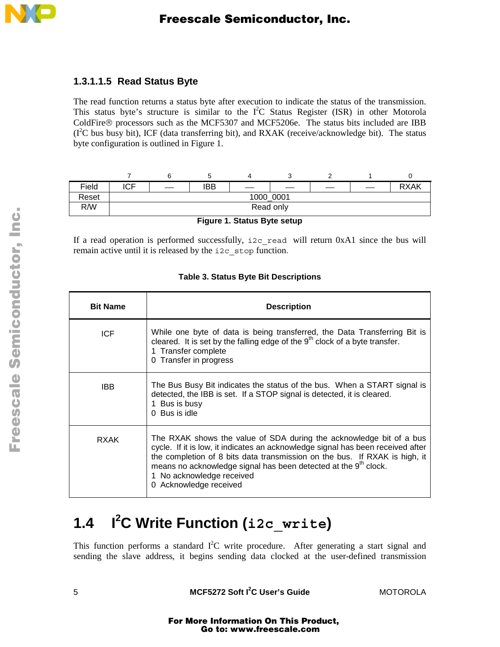

### **1.3.1.1.5 Read Status Byte**

The read function returns a status byte after execution to indicate the status of the transmission. This status byte's structure is similar to the  $I^2C$  Status Register (ISR) in other Motorola ColdFire® processors such as the MCF5307 and MCF5206e. The status bits included are IBB (I<sup>2</sup>C bus busy bit), ICF (data transferring bit), and RXAK (receive/acknowledge bit). The status byte configuration is outlined in Figure 1.

|       |           | o | ັ          |  |  |  |  |             |
|-------|-----------|---|------------|--|--|--|--|-------------|
| Field | ICF       |   | <b>IBB</b> |  |  |  |  | <b>RXAK</b> |
| Reset | 1000_0001 |   |            |  |  |  |  |             |
| R/W   | Read only |   |            |  |  |  |  |             |
|       |           |   |            |  |  |  |  |             |

**Figure 1. Status Byte setup** 

If a read operation is performed successfully, i2c\_read will return 0xA1 since the bus will remain active until it is released by the i2c\_stop function.

| <b>Bit Name</b> | <b>Description</b>                                                                                                                                                                                                                                                                                                                                                         |
|-----------------|----------------------------------------------------------------------------------------------------------------------------------------------------------------------------------------------------------------------------------------------------------------------------------------------------------------------------------------------------------------------------|
| <b>ICF</b>      | While one byte of data is being transferred, the Data Transferring Bit is<br>cleared. It is set by the falling edge of the 9 <sup>th</sup> clock of a byte transfer.<br>1 Transfer complete<br>0 Transfer in progress                                                                                                                                                      |
| <b>IBB</b>      | The Bus Busy Bit indicates the status of the bus. When a START signal is<br>detected, the IBB is set. If a STOP signal is detected, it is cleared.<br>1 Bus is busy<br>0 Bus is idle                                                                                                                                                                                       |
| <b>RXAK</b>     | The RXAK shows the value of SDA during the acknowledge bit of a bus<br>cycle. If it is low, it indicates an acknowledge signal has been received after<br>the completion of 8 bits data transmission on the bus. If RXAK is high, it<br>means no acknowledge signal has been detected at the 9 <sup>th</sup> clock.<br>1 No acknowledge received<br>0 Acknowledge received |

### **Table 3. Status Byte Bit Descriptions**

#### **1.4 I<sup>2</sup> C Write Function (i2c\_write)**

This function performs a standard  $I<sup>2</sup>C$  write procedure. After generating a start signal and sending the slave address, it begins sending data clocked at the user-defined transmission

5 **MCF5272 Soft I2 C User's Guide** MOTOROLA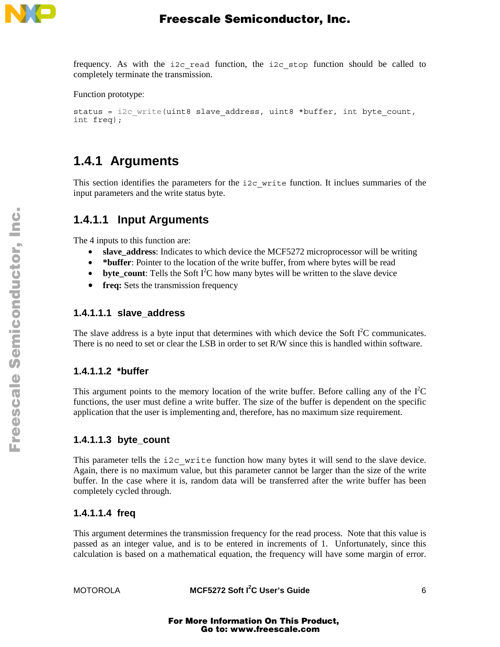

frequency. As with the i2c\_read function, the i2c\_stop function should be called to completely terminate the transmission.

#### Function prototype:

```
status = i2c write(uint8 slave address, uint8 *buffer, int byte count,
int freq);
```
### **1.4.1 Arguments**

This section identifies the parameters for the i2c write function. It inclues summaries of the input parameters and the write status byte.

### **1.4.1.1 Input Arguments**

The 4 inputs to this function are:

- **slave\_address**: Indicates to which device the MCF5272 microprocessor will be writing
- **\*buffer**: Pointer to the location of the write buffer, from where bytes will be read
- **byte\_count**: Tells the Soft  $I^2C$  how many bytes will be written to the slave device
- **freq:** Sets the transmission frequency

### **1.4.1.1.1 slave\_address**

The slave address is a byte input that determines with which device the Soft  $I<sup>2</sup>C$  communicates. There is no need to set or clear the LSB in order to set R/W since this is handled within software.

### **1.4.1.1.2 \*buffer**

This argument points to the memory location of the write buffer. Before calling any of the  $I<sup>2</sup>C$ functions, the user must define a write buffer. The size of the buffer is dependent on the specific application that the user is implementing and, therefore, has no maximum size requirement.

### **1.4.1.1.3 byte\_count**

This parameter tells the i2c write function how many bytes it will send to the slave device. Again, there is no maximum value, but this parameter cannot be larger than the size of the write buffer. In the case where it is, random data will be transferred after the write buffer has been completely cycled through.

### **1.4.1.1.4 freq**

This argument determines the transmission frequency for the read process. Note that this value is passed as an integer value, and is to be entered in increments of 1. Unfortunately, since this calculation is based on a mathematical equation, the frequency will have some margin of error.

MOTOROLA **MCF5272 Soft I<sup>2</sup>C User's Guide** 6

## For More Information On This Product, Go to: www.freescale.com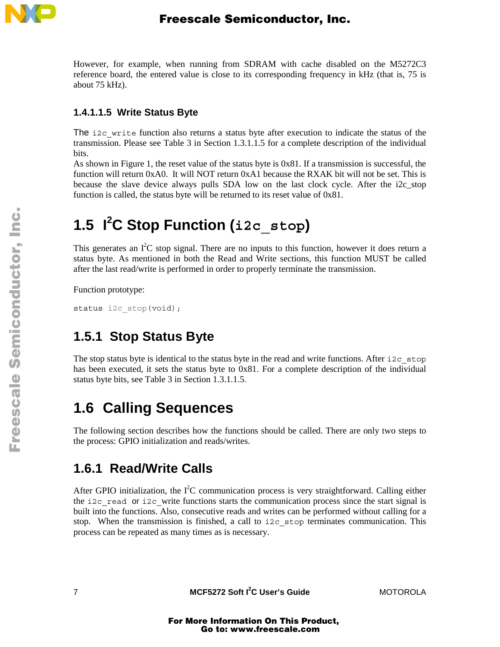

However, for example, when running from SDRAM with cache disabled on the M5272C3 reference board, the entered value is close to its corresponding frequency in kHz (that is, 75 is about 75 kHz).

### **1.4.1.1.5 Write Status Byte**

The  $izc$  write function also returns a status byte after execution to indicate the status of the transmission. Please see Table 3 in Section 1.3.1.1.5 for a complete description of the individual bits.

As shown in Figure 1, the reset value of the status byte is 0x81. If a transmission is successful, the function will return 0xA0. It will NOT return 0xA1 because the RXAK bit will not be set. This is because the slave device always pulls SDA low on the last clock cycle. After the i2c\_stop function is called, the status byte will be returned to its reset value of 0x81.

# **1.5 I<sup>2</sup> C Stop Function (i2c\_stop)**

This generates an  $I^2C$  stop signal. There are no inputs to this function, however it does return a status byte. As mentioned in both the Read and Write sections, this function MUST be called after the last read/write is performed in order to properly terminate the transmission.

Function prototype:

status i2c stop(void);

## **1.5.1 Stop Status Byte**

The stop status byte is identical to the status byte in the read and write functions. After  $i2c$  stop has been executed, it sets the status byte to 0x81. For a complete description of the individual status byte bits, see Table 3 in Section 1.3.1.1.5.

## **1.6 Calling Sequences**

The following section describes how the functions should be called. There are only two steps to the process: GPIO initialization and reads/writes.

### **1.6.1 Read/Write Calls**

After GPIO initialization, the  $I<sup>2</sup>C$  communication process is very straightforward. Calling either the i2c read or i2c write functions starts the communication process since the start signal is built into the functions. Also, consecutive reads and writes can be performed without calling for a stop. When the transmission is finished, a call to  $i2c$  stop terminates communication. This process can be repeated as many times as is necessary.

.<br>ق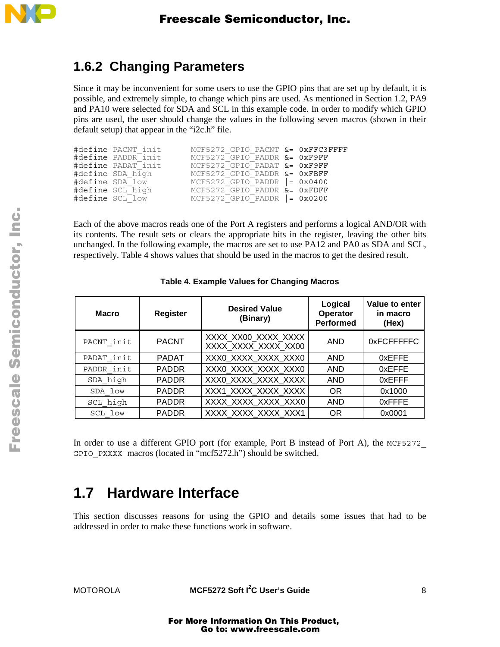

Fr  $\boldsymbol{\Phi}$  $\bf \Phi$  $\boldsymbol{\eta}$  $\mathbf 0$ 

ale

 $\boldsymbol{g}$  $\bf \Phi$ 

mic

o n d u  $\mathbf 0$ t o

r, I

n

.<br>ق

### **1.6.2 Changing Parameters**

Since it may be inconvenient for some users to use the GPIO pins that are set up by default, it is possible, and extremely simple, to change which pins are used. As mentioned in Section 1.2, PA9 and PA10 were selected for SDA and SCL in this example code. In order to modify which GPIO pins are used, the user should change the values in the following seven macros (shown in their default setup) that appear in the "i2c.h" file.

| #define PACNT init | MCF5272 GPIO PACNT &= 0xFFC3FFFF |  |
|--------------------|----------------------------------|--|
| #define PADDR init | MCF5272 GPIO PADDR $&=$ 0xF9FF   |  |
| #define PADAT init | MCF5272 GPIO PADAT &= 0xF9FF     |  |
| #define SDA high   | MCF5272 GPIO PADDR &= 0xFBFF     |  |
| #define SDA low    | MCF5272 GPIO PADDR $  = 0x0400$  |  |
| #define SCL high   | MCF5272 GPIO PADDR &= 0xFDFF     |  |
| #define SCL low    | MCF5272 GPIO PADDR $= 0x0200$    |  |

Each of the above macros reads one of the Port A registers and performs a logical AND/OR with its contents. The result sets or clears the appropriate bits in the register, leaving the other bits unchanged. In the following example, the macros are set to use PA12 and PA0 as SDA and SCL, respectively. Table 4 shows values that should be used in the macros to get the desired result.

| <b>Macro</b> | <b>Register</b> | <b>Desired Value</b><br>(Binary)           | Logical<br>Operator<br><b>Performed</b> | Value to enter<br>in macro<br>(Hex) |
|--------------|-----------------|--------------------------------------------|-----------------------------------------|-------------------------------------|
| PACNT init   | <b>PACNT</b>    | XXXX XX00 XXXX XXXX<br>XXXX XXXX XXXX XX00 | AND                                     | 0xFCFFFFFC                          |
| PADAT init   | <b>PADAT</b>    | XXX0 XXXX XXXX XXX0                        | AND                                     | 0xEFFE                              |
| PADDR init   | <b>PADDR</b>    | XXX0 XXXX XXXX XXX0                        | <b>AND</b>                              | 0xEFFE                              |
| SDA high     | <b>PADDR</b>    | XXX0 XXXX XXXX XXXX                        | <b>AND</b>                              | 0xEFFF                              |
| SDA low      | <b>PADDR</b>    | XXX1 XXXX XXXX XXXX                        | <b>OR</b>                               | 0x1000                              |
| SCL high     | <b>PADDR</b>    | XXXX XXXX XXXX XXX0                        | <b>AND</b>                              | 0xFFFE                              |
| SCL low      | <b>PADDR</b>    | XXXX XXXX XXXX XXX1                        | <b>OR</b>                               | 0x0001                              |

### **Table 4. Example Values for Changing Macros**

In order to use a different GPIO port (for example, Port B instead of Port A), the MCF5272 GPIO PXXXX macros (located in "mcf5272.h") should be switched.

## **1.7 Hardware Interface**

This section discusses reasons for using the GPIO and details some issues that had to be addressed in order to make these functions work in software.

MOTOROLA **MCF5272 Soft I<sup>2</sup>C User's Guide** 8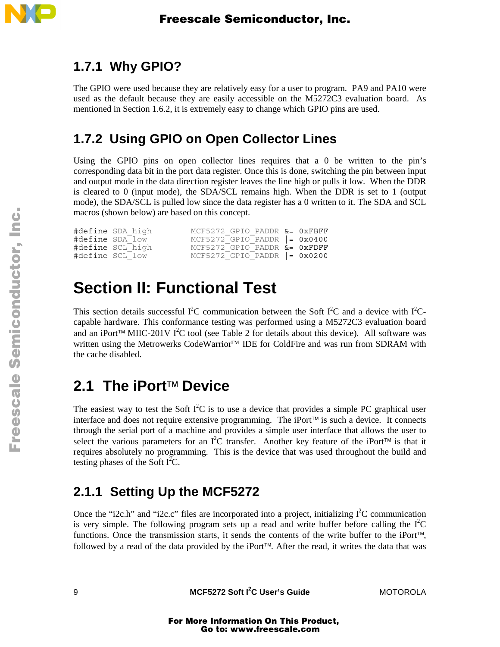## **1.7.1 Why GPIO?**

The GPIO were used because they are relatively easy for a user to program. PA9 and PA10 were used as the default because they are easily accessible on the M5272C3 evaluation board. As mentioned in Section 1.6.2, it is extremely easy to change which GPIO pins are used.

## **1.7.2 Using GPIO on Open Collector Lines**

Using the GPIO pins on open collector lines requires that a 0 be written to the pin's corresponding data bit in the port data register. Once this is done, switching the pin between input and output mode in the data direction register leaves the line high or pulls it low. When the DDR is cleared to 0 (input mode), the SDA/SCL remains high. When the DDR is set to 1 (output mode), the SDA/SCL is pulled low since the data register has a 0 written to it. The SDA and SCL macros (shown below) are based on this concept.

|                 | #define SDA high | MCF5272 GPIO PADDR &= 0xFBFF                               |  |  |
|-----------------|------------------|------------------------------------------------------------|--|--|
|                 | #define SDA low  | $MCF5272$ <sup>-</sup> GPIO <sup>-</sup> PADDR $ = 0x0400$ |  |  |
|                 | #define SCL high | MCF5272 GPIO PADDR &= 0xFDFF                               |  |  |
| #define SCL low |                  | $MCF5272$ <sup>-GPIO-PADDR <math>= 0x0200</math></sup>     |  |  |

# **Section II: Functional Test**

This section details successful I<sup>2</sup>C communication between the Soft I<sup>2</sup>C and a device with I<sup>2</sup>Ccapable hardware. This conformance testing was performed using a M5272C3 evaluation board and an iPort<sup>™</sup> MIIC-201V I<sup>2</sup>C tool (see Table 2 for details about this device). All software was written using the Metrowerks CodeWarrior™ IDE for ColdFire and was run from SDRAM with the cache disabled.

## **2.1 The iPort<sup>™</sup> Device**

The easiest way to test the Soft  $I^2C$  is to use a device that provides a simple PC graphical user interface and does not require extensive programming. The iPort<sup> $\pi$ </sup> is such a device. It connects through the serial port of a machine and provides a simple user interface that allows the user to select the various parameters for an  $I^2C$  transfer. Another key feature of the iPort<sup>TM</sup> is that it requires absolutely no programming. This is the device that was used throughout the build and testing phases of the Soft  $I^2C$ .

## **2.1.1 Setting Up the MCF5272**

Once the "i2c.h" and "i2c.c" files are incorporated into a project, initializing  $I<sup>2</sup>C$  communication is very simple. The following program sets up a read and write buffer before calling the  $I^2C$ functions. Once the transmission starts, it sends the contents of the write buffer to the iPort<sup>TM</sup>, followed by a read of the data provided by the iPort<sup> $\tau$ m</sup>. After the read, it writes the data that was

9 **MCF5272 Soft I2 C User's Guide** MOTOROLA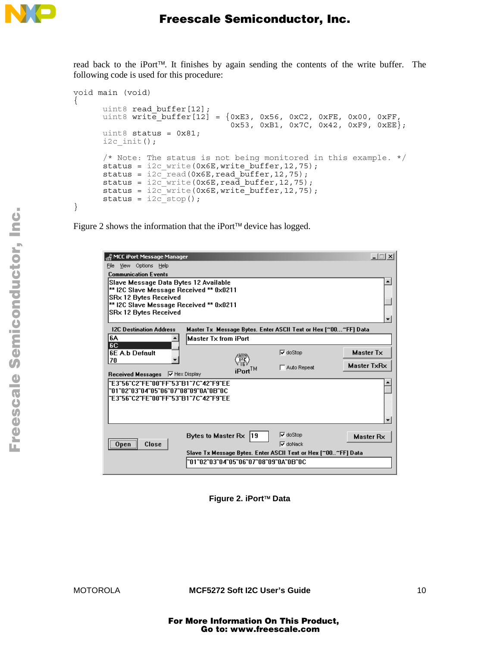

read back to the iPort<sup>™</sup>. It finishes by again sending the contents of the write buffer. The following code is used for this procedure:

```
void main (void) 
\{uint8 read buffer[12];
      uint8 write buffer[12] = \{0xE3, 0x56, 0xC2, 0xFE, 0x00, 0xFF,\overline{O(x53, 0xB1, 0x7C, 0x42, 0xF9, 0xEE};uint8 status = 0x81; 
      i2c_init(); 
      /* Note: The status is not being monitored in this example. */ 
      status = i2c write(0x6E, write buffer, 12,75);
      status = \sqrt{12}c read(0x6E, read buffer, 12,75);
      status = \text{size} write(0x6E, read buffer, 12,75);
      status = i2c write(0x6E, write buffer, 12,75);
      status = i2c<sub>stop</sub>();
}
```
Figure 2 shows the information that the iPort<sup> $\text{TM}$ </sup> device has logged.

| <u>A MCC i</u> Port Message Manager     |                        |                    |                                                                | $ \Box$ $\times$   |  |
|-----------------------------------------|------------------------|--------------------|----------------------------------------------------------------|--------------------|--|
| View Options Help<br>File               |                        |                    |                                                                |                    |  |
| <b>Communication Events</b>             |                        |                    |                                                                |                    |  |
| Slave Message Data Bytes 12 Available   |                        |                    |                                                                |                    |  |
| ** I2C Slave Message Received ** 0x0211 |                        |                    |                                                                |                    |  |
| <b>SRx 12 Bytes Received</b>            |                        |                    |                                                                |                    |  |
| ** I2C Slave Message Received ** 0x0211 |                        |                    |                                                                |                    |  |
| <b>SRx 12 Bytes Received</b>            |                        |                    |                                                                |                    |  |
|                                         |                        |                    |                                                                |                    |  |
| <b>I2C Destination Address</b>          |                        |                    | Master Tx Message Bytes. Enter ASCII Text or Hex [~00~FF] Data |                    |  |
| 6A                                      | Master Tx from iPort   |                    |                                                                |                    |  |
| 6C                                      |                        |                    |                                                                |                    |  |
| <b>6E A h Default</b>                   |                        |                    | <b>▽</b> doStop                                                | <b>Master Tx</b>   |  |
| 70                                      |                        | 豐                  |                                                                | <b>Master TxRx</b> |  |
|                                         |                        | iPort <sup>™</sup> | Auto Repeat                                                    |                    |  |
| Received Messages $\nabla$ Hex Display  |                        |                    |                                                                |                    |  |
| "E3"56"C2"FE"00"FF"53"B1"7C"42"F9"EE    |                        |                    |                                                                |                    |  |
| ~01~02~03~04~05~06~07~08~09~0A~0B~0C    |                        |                    |                                                                |                    |  |
| "F3"56"C2"FF"NN"FF"53"B1"7C"42"F9"FF    |                        |                    |                                                                |                    |  |
|                                         |                        |                    |                                                                |                    |  |
|                                         |                        |                    |                                                                |                    |  |
|                                         |                        |                    |                                                                |                    |  |
|                                         | Bytes to Master Rx  19 |                    | <b>⊽</b> doStop                                                | <b>Master Rx</b>   |  |
| Close<br>Open                           |                        |                    | $\nabla$ doNack                                                |                    |  |
|                                         |                        |                    | Slave Tx Message Bytes. Enter ASCII Text or Hex [~00~FF] Data  |                    |  |
| ~01~02~03~04~05~06~07~08~09~0A~0B~0C    |                        |                    |                                                                |                    |  |
|                                         |                        |                    |                                                                |                    |  |

**Figure 2. iPort<sup>™</sup> Data**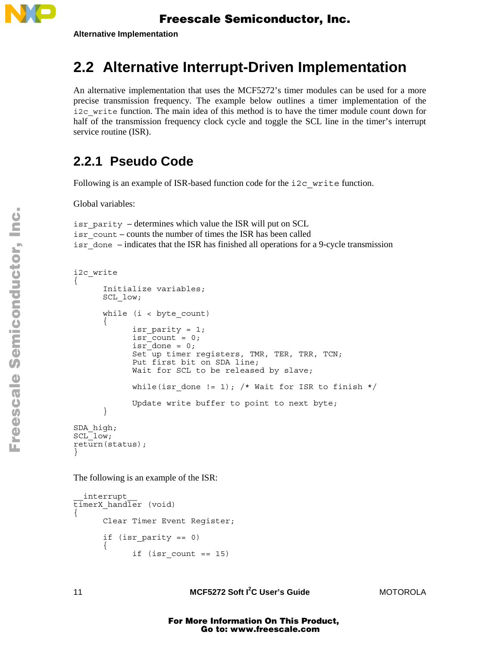

**Alternative Implementation**

## **2.2 Alternative Interrupt-Driven Implementation**

An alternative implementation that uses the MCF5272's timer modules can be used for a more precise transmission frequency. The example below outlines a timer implementation of the i2c\_write function. The main idea of this method is to have the timer module count down for half of the transmission frequency clock cycle and toggle the SCL line in the timer's interrupt service routine (ISR).

## **2.2.1 Pseudo Code**

Following is an example of ISR-based function code for the i2c\_write function.

Global variables:

isr\_parity – determines which value the ISR will put on SCL isr count – counts the number of times the ISR has been called  $i$ sr done – indicates that the ISR has finished all operations for a 9-cycle transmission

```
i2c_write 
\{ Initialize variables; 
       SCL_low; 
      while (i \lt k byte count)
\{isr parity = 1;isr count = 0;isr\_done = 0;Set up timer registers, TMR, TER, TRR, TCN;
             Put first bit on SDA line; 
             Wait for SCL to be released by slave; 
            while(isr done != 1); /* Wait for ISR to finish */
             Update write buffer to point to next byte; 
       } 
SDA_high; 
SCL_low; 
return(status);}
```
The following is an example of the ISR:

```
interrupt
timerX handler (void)
{ 
       Clear Timer Event Register; 
       if (isr_parity == 0) 
\{if (isr count == 15)
```
o n d u  $\mathbf 0$ t o

r, I

n

.<br>ق

11 **MCF5272 Soft I<sup>2</sup>C User's Guide** MOTOROLA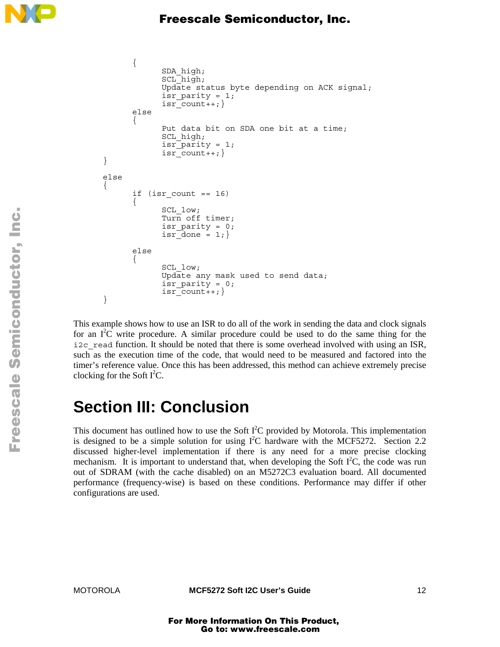

```
\{\{ SDA high;
                  SCL_high; 
                  Update status byte depending on ACK signal; 
                 isr parity = 1;isr count++; }
            else 
\{ Put data bit on SDA one bit at a time; 
                 SCL high;
                 isr parity = 1;
                 isr^-count++; }
      }
      else 
     \{if (isr_count == 16)<br>\{\{ SCL_low; 
                 Turn off timer:
                 isr parity = 0;isr done = 1; else 
\{ SCL_low; 
                  Update any mask used to send data; 
                 isr parity = 0;isr count++; }
      }
```
This example shows how to use an ISR to do all of the work in sending the data and clock signals for an  $I^2C$  write procedure. A similar procedure could be used to do the same thing for the i2c\_read function. It should be noted that there is some overhead involved with using an ISR, such as the execution time of the code, that would need to be measured and factored into the timer's reference value. Once this has been addressed, this method can achieve extremely precise clocking for the Soft  $I^2C$ .

# **Section III: Conclusion**

This document has outlined how to use the Soft  $I<sup>2</sup>C$  provided by Motorola. This implementation is designed to be a simple solution for using  $I^2C$  hardware with the MCF5272. Section 2.2 discussed higher-level implementation if there is any need for a more precise clocking mechanism. It is important to understand that, when developing the Soft  $I<sup>2</sup>C$ , the code was run out of SDRAM (with the cache disabled) on an M5272C3 evaluation board. All documented performance (frequency-wise) is based on these conditions. Performance may differ if other configurations are used.

MOTOROLA **MCF5272 Soft I2C User's Guide** 12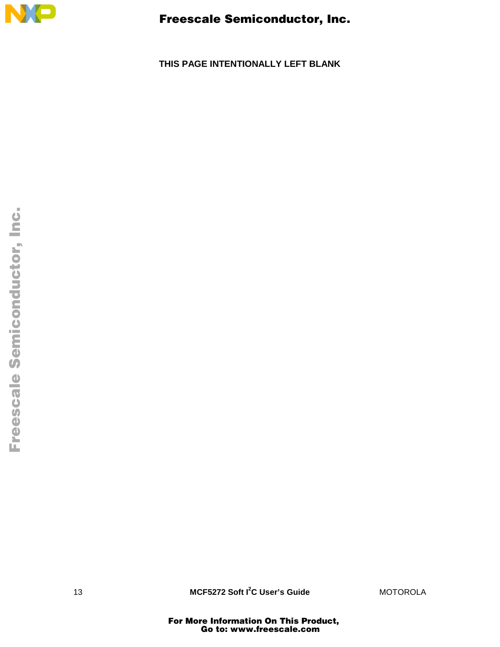

**THIS PAGE INTENTIONALLY LEFT BLANK** 

13 **MCF5272 Soft I<sup>2</sup>C User's Guide** MOTOROLA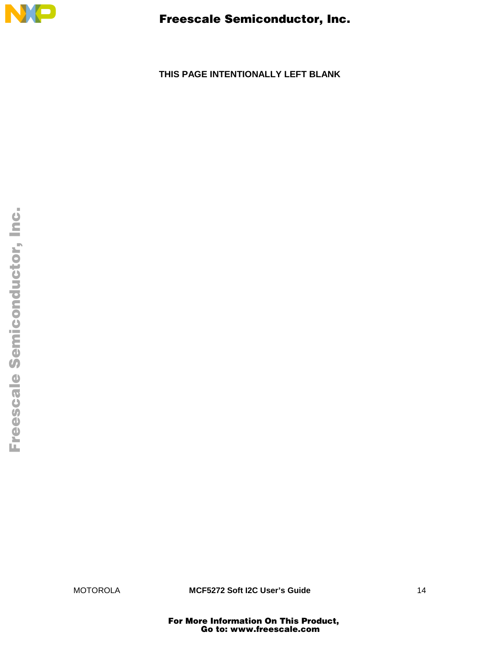

**THIS PAGE INTENTIONALLY LEFT BLANK**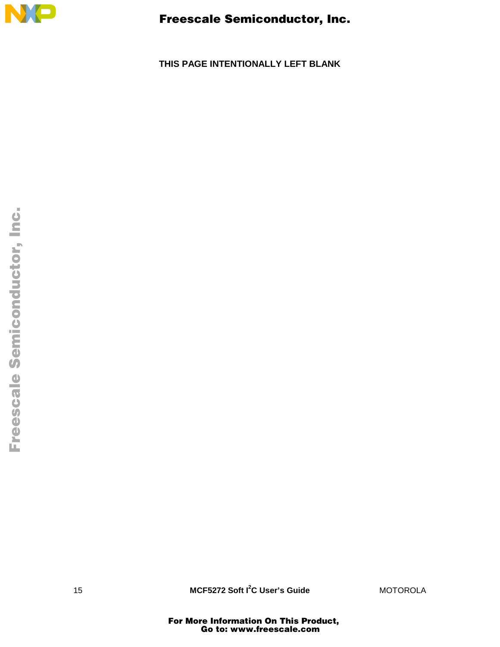

**THIS PAGE INTENTIONALLY LEFT BLANK**